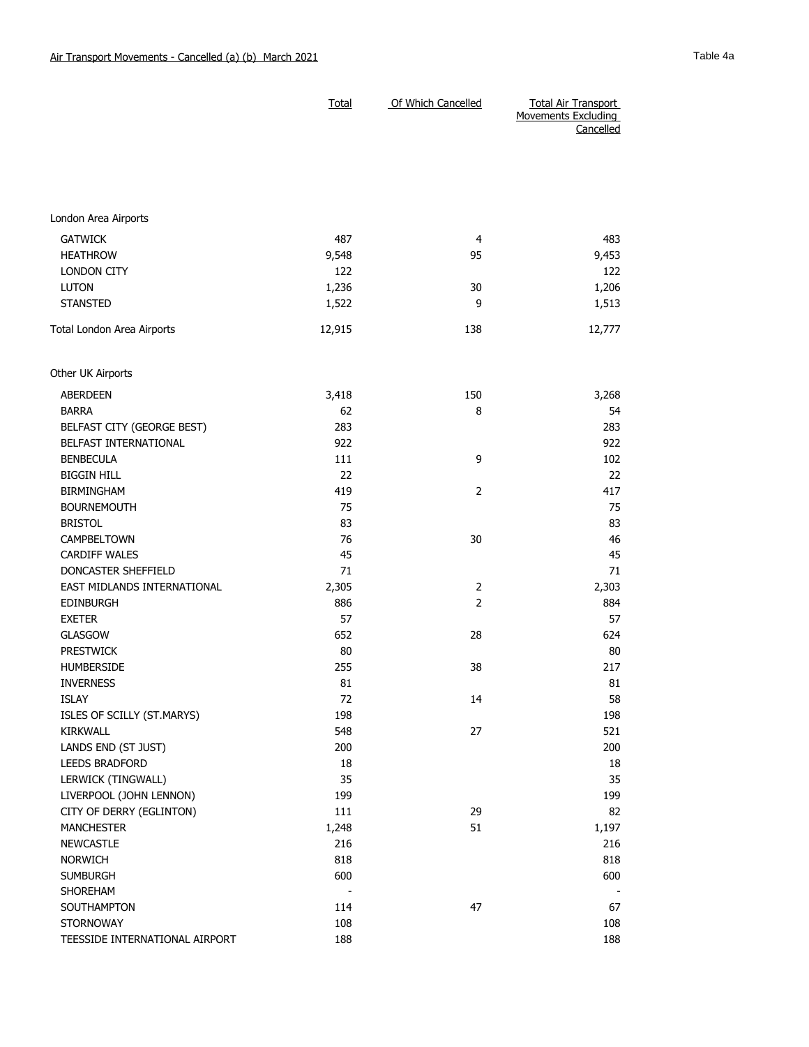|                                   | <b>Total</b> | Of Which Cancelled | <b>Total Air Transport</b><br>Movements Excluding<br>Cancelled |
|-----------------------------------|--------------|--------------------|----------------------------------------------------------------|
|                                   |              |                    |                                                                |
| London Area Airports              |              |                    |                                                                |
|                                   |              |                    |                                                                |
| <b>GATWICK</b><br><b>HEATHROW</b> | 487<br>9,548 | 4<br>95            | 483                                                            |
| <b>LONDON CITY</b>                | 122          |                    | 9,453<br>122                                                   |
| <b>LUTON</b>                      | 1,236        | 30                 | 1,206                                                          |
| <b>STANSTED</b>                   | 1,522        | 9                  | 1,513                                                          |
| Total London Area Airports        | 12,915       | 138                | 12,777                                                         |
|                                   |              |                    |                                                                |
| Other UK Airports                 |              |                    |                                                                |
| <b>ABERDEEN</b>                   | 3,418        | 150                | 3,268                                                          |
| <b>BARRA</b>                      | 62           | 8                  | 54                                                             |
| BELFAST CITY (GEORGE BEST)        | 283          |                    | 283                                                            |
| BELFAST INTERNATIONAL             | 922          |                    | 922                                                            |
| <b>BENBECULA</b>                  | 111          | 9                  | 102                                                            |
| <b>BIGGIN HILL</b>                | 22           |                    | 22                                                             |
| <b>BIRMINGHAM</b>                 | 419          | $\overline{2}$     | 417                                                            |
| <b>BOURNEMOUTH</b>                | 75           |                    | 75                                                             |
| <b>BRISTOL</b>                    | 83           |                    | 83                                                             |
| CAMPBELTOWN                       | 76           | 30                 | 46                                                             |
| <b>CARDIFF WALES</b>              | 45           |                    | 45                                                             |
| DONCASTER SHEFFIELD               | 71           |                    | 71                                                             |
| EAST MIDLANDS INTERNATIONAL       | 2,305        | 2                  | 2,303                                                          |
| <b>EDINBURGH</b>                  | 886          | $\overline{2}$     | 884                                                            |
| <b>EXETER</b>                     | 57           |                    | 57                                                             |
| <b>GLASGOW</b>                    | 652          | 28                 | 624                                                            |
| <b>PRESTWICK</b>                  | 80           |                    | 80                                                             |
| <b>HUMBERSIDE</b>                 | 255          | 38                 | 217                                                            |
| <b>INVERNESS</b>                  | 81           |                    | 81                                                             |
| <b>ISLAY</b>                      | 72           | 14                 | 58                                                             |
| ISLES OF SCILLY (ST.MARYS)        | 198          |                    | 198                                                            |
| <b>KIRKWALL</b>                   | 548          | 27                 | 521                                                            |
| LANDS END (ST JUST)               | 200          |                    | 200                                                            |
| LEEDS BRADFORD                    | 18           |                    | 18                                                             |
| LERWICK (TINGWALL)                | 35           |                    | 35                                                             |
| LIVERPOOL (JOHN LENNON)           | 199          |                    | 199                                                            |
| CITY OF DERRY (EGLINTON)          | 111          | 29                 | 82                                                             |
| <b>MANCHESTER</b>                 | 1,248        | 51                 | 1,197                                                          |
| <b>NEWCASTLE</b>                  | 216          |                    | 216                                                            |
| <b>NORWICH</b>                    | 818          |                    | 818                                                            |
| <b>SUMBURGH</b>                   | 600          |                    | 600                                                            |
| SHOREHAM                          |              |                    |                                                                |
| SOUTHAMPTON<br><b>STORNOWAY</b>   | 114<br>108   | 47                 | 67<br>108                                                      |
| TEESSIDE INTERNATIONAL AIRPORT    | 188          |                    | 188                                                            |
|                                   |              |                    |                                                                |